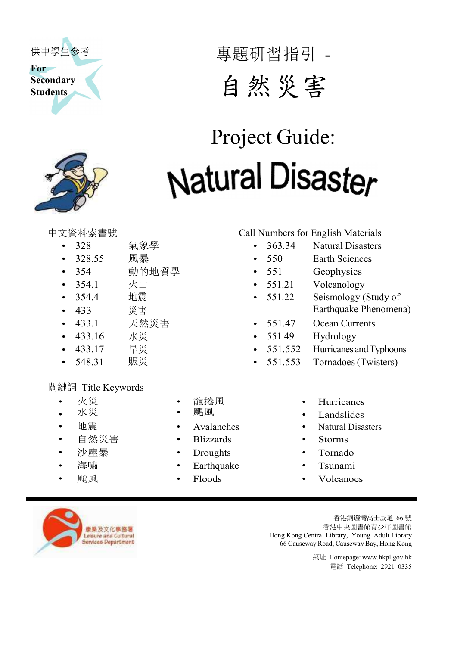

專題研習指引 -



# Project Guide: Natural Disaster

- 
- 
- 
- 
- 
- 
- 
- 
- 
- 

### 關鍵詞 Title Keywords

- 
- 水災
- 
- 自然災害 Blizzards Storms
- 
- 
- 
- 
- 
- 
- 
- 沙塵暴 Droughts Tornado
	- 海嘯 Earthquake Tsunami
		-

### 中文資料索書號 Call Numbers for English Materials

- 328 氣象學 363.34 Natural Disasters
- 328.55 風暴 550 Earth Sciences
- 354 動的地質學 551 Geophysics
- 551.21 Volcanology
- 354.4 地震 551.22 Seismology (Study of external to the Second Second Second Earthquake Phenomena) and Second Second Second Second Second Second Second Second Second Second Second Second Second Second Second Second Second Second Second Second Second Second Seco
- 433.1 天然災害 551.47 Ocean Currents
- 433.16 水災 551.49 Hydrology
- 433.17 旱災 551.552 Hurricanes and Typhoons
- 548.31 賑災 551.553 Tornadoes (Twisters)
- 火災 龍捲風 Hurricanes
	- 水災 颶風 • Landslides
	- 地震 Avalanches Natural Disasters
		-
		-
		-
- 颱風 Floods Volcanoes



香港銅鑼灣高士威道 66 號 香港中央圖書館青少年圖書館 Hong Kong Central Library, Young Adult Library 66 Causeway Road, Causeway Bay, Hong Kong

> 網址 Homepage: www.hkpl.gov.hk 電話 Telephone: 2921 0335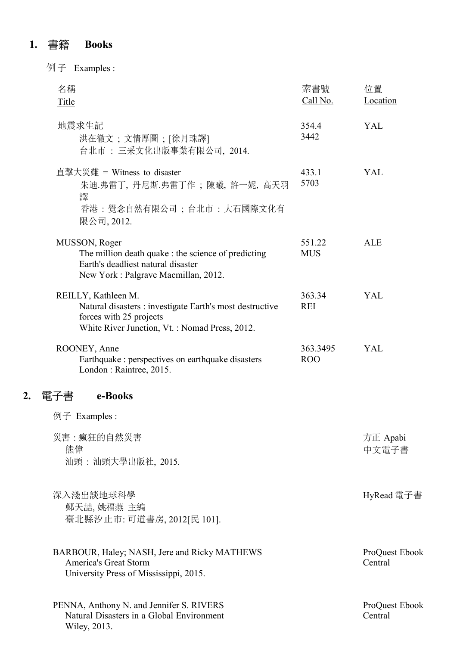## 1. 書籍 Books

例子 Examples :

| 名稱<br>Title                            |                                                                                                                                                              | 索書號<br>Call No.        | 位置<br>Location            |
|----------------------------------------|--------------------------------------------------------------------------------------------------------------------------------------------------------------|------------------------|---------------------------|
|                                        | 地震求生記<br>洪在徹文;文情厚圖;[徐月珠譯]<br>台北市: 三采文化出版事業有限公司, 2014.                                                                                                        | 354.4<br>3442          | YAL                       |
|                                        | 直擊大災難 = Witness to disaster<br>朱迪.弗雷丁, 丹尼斯.弗雷丁作; 陳曦, 許一妮, 高天羽<br>譯<br>香港 : 覺念自然有限公司 ; 台北市 : 大石國際文化有<br>限公司, 2012.                                            | 433.1<br>5703          | YAL                       |
|                                        | MUSSON, Roger<br>The million death quake : the science of predicting<br>Earth's deadliest natural disaster<br>New York: Palgrave Macmillan, 2012.            | 551.22<br><b>MUS</b>   | <b>ALE</b>                |
|                                        | REILLY, Kathleen M.<br>Natural disasters : investigate Earth's most destructive<br>forces with 25 projects<br>White River Junction, Vt. : Nomad Press, 2012. | 363.34<br><b>REI</b>   | YAL                       |
|                                        | ROONEY, Anne<br>Earthquake : perspectives on earthquake disasters<br>London : Raintree, 2015.                                                                | 363.3495<br><b>ROO</b> | YAL                       |
| 2.<br>窜千                               | e-Books                                                                                                                                                      |                        |                           |
|                                        | 例子 Examples :                                                                                                                                                |                        |                           |
| 災害:瘋狂的自然災害<br>熊偉<br>汕頭: 汕頭大學出版社, 2015. |                                                                                                                                                              |                        | 方正 Apabi<br>中文電子書         |
|                                        | 深入淺出談地球科學<br>鄭天喆,姚福燕主編<br>臺北縣汐止市: 可道書房, 2012[民 101].                                                                                                         |                        | HyRead 電子書                |
|                                        | BARBOUR, Haley; NASH, Jere and Ricky MATHEWS<br>America's Great Storm<br>University Press of Mississippi, 2015.                                              |                        | ProQuest Ebook<br>Central |
|                                        | PENNA, Anthony N. and Jennifer S. RIVERS<br>Natural Disasters in a Global Environment<br>Wiley, 2013.                                                        |                        | ProQuest Ebook<br>Central |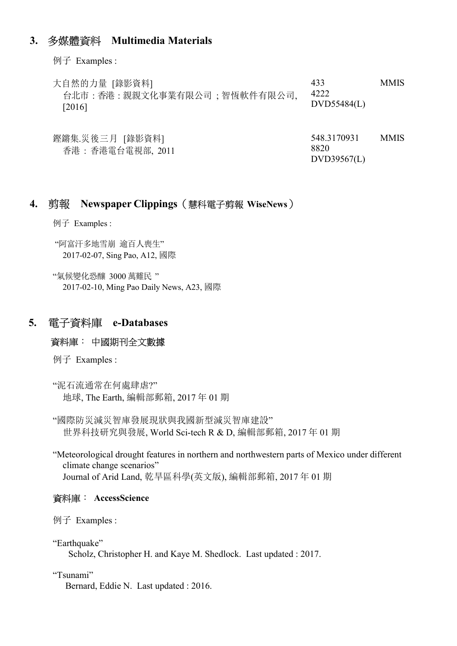### 3. 多媒體資料 Multimedia Materials

例子 Examples :

| 4222<br>台北市:香港:親親文化事業有限公司;智恆軟件有限公司,<br>DVD55484(L)<br>[2016] |
|--------------------------------------------------------------|
|--------------------------------------------------------------|

| 鏗鏘集.災後三月 [錄影資料]   | 548.3170931<br>MMIS. |
|-------------------|----------------------|
| 香港: 香港電台電視部, 2011 | 8820                 |
|                   | DVD39567(L)          |

#### 4. 剪報 Newspaper Clippings(慧科電子剪報 WiseNews)

例子 Examples :

 "阿富汗多地雪崩 逾百人喪生" 2017-02-07, Sing Pao, A12, 國際

"氣候變化恐釀 3000 萬難民 " 2017-02-10, Ming Pao Daily News, A23, 國際

#### 5. 電子資料庫 e-Databases

#### 資料庫: 中國期刊全文數據

例子 Examples :

"泥石流通常在何處肆虐?" 地球, The Earth, 編輯部郵箱, 2017 年 01 期

"國際防災減災智庫發展現狀與我國新型減災智庫建設" 世界科技研究與發展, World Sci-tech R & D, 編輯部郵箱, 2017 年 01 期

"Meteorological drought features in northern and northwestern parts of Mexico under different climate change scenarios" Journal of Arid Land, 乾旱區科學(英文版), 編輯部郵箱, 2017 年 01 期

#### 資料庫: AccessScience

例子 Examples :

"Earthquake" Scholz, Christopher H. and Kaye M. Shedlock. Last updated : 2017.

"Tsunami"

Bernard, Eddie N. Last updated : 2016.